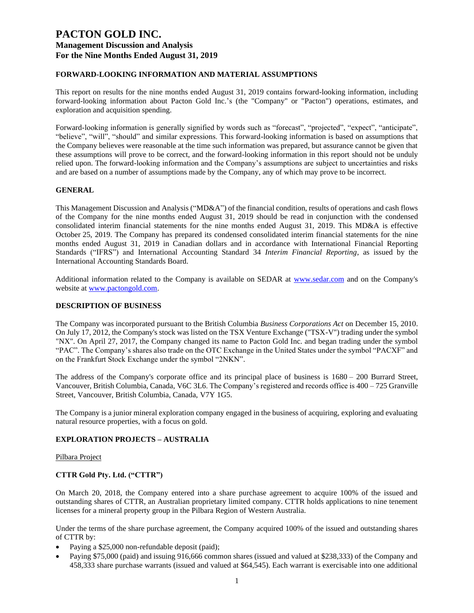### **FORWARD-LOOKING INFORMATION AND MATERIAL ASSUMPTIONS**

This report on results for the nine months ended August 31, 2019 contains forward-looking information, including forward-looking information about Pacton Gold Inc.'s (the "Company" or "Pacton") operations, estimates, and exploration and acquisition spending.

Forward-looking information is generally signified by words such as "forecast", "projected", "expect", "anticipate", "believe", "will", "should" and similar expressions. This forward-looking information is based on assumptions that the Company believes were reasonable at the time such information was prepared, but assurance cannot be given that these assumptions will prove to be correct, and the forward-looking information in this report should not be unduly relied upon. The forward-looking information and the Company's assumptions are subject to uncertainties and risks and are based on a number of assumptions made by the Company, any of which may prove to be incorrect.

### **GENERAL**

This Management Discussion and Analysis ("MD&A") of the financial condition, results of operations and cash flows of the Company for the nine months ended August 31, 2019 should be read in conjunction with the condensed consolidated interim financial statements for the nine months ended August 31, 2019. This MD&A is effective October 25, 2019. The Company has prepared its condensed consolidated interim financial statements for the nine months ended August 31, 2019 in Canadian dollars and in accordance with International Financial Reporting Standards ("IFRS") and International Accounting Standard 34 *Interim Financial Reporting*, as issued by the International Accounting Standards Board.

Additional information related to the Company is available on SEDAR at [www.sedar.com](http://www.sedar.com/) and on the Company's website at [www.pactongold.com.](http://www.pactongold.com/)

#### **DESCRIPTION OF BUSINESS**

The Company was incorporated pursuant to the British Columbia *Business Corporations Act* on December 15, 2010. On July 17, 2012, the Company's stock was listed on the TSX Venture Exchange ("TSX-V") trading under the symbol "NX". On April 27, 2017, the Company changed its name to Pacton Gold Inc. and began trading under the symbol "PAC". The Company's shares also trade on the OTC Exchange in the United States under the symbol "PACXF" and on the Frankfurt Stock Exchange under the symbol "2NKN".

The address of the Company's corporate office and its principal place of business is 1680 – 200 Burrard Street, Vancouver, British Columbia, Canada, V6C 3L6. The Company's registered and records office is 400 – 725 Granville Street, Vancouver, British Columbia, Canada, V7Y 1G5.

The Company is a junior mineral exploration company engaged in the business of acquiring, exploring and evaluating natural resource properties, with a focus on gold.

#### **EXPLORATION PROJECTS – AUSTRALIA**

#### Pilbara Project

### **CTTR Gold Pty. Ltd. ("CTTR")**

On March 20, 2018, the Company entered into a share purchase agreement to acquire 100% of the issued and outstanding shares of CTTR, an Australian proprietary limited company. CTTR holds applications to nine tenement licenses for a mineral property group in the Pilbara Region of Western Australia.

Under the terms of the share purchase agreement, the Company acquired 100% of the issued and outstanding shares of CTTR by:

- Paying a \$25,000 non-refundable deposit (paid);
- Paying \$75,000 (paid) and issuing 916,666 common shares (issued and valued at \$238,333) of the Company and 458,333 share purchase warrants (issued and valued at \$64,545). Each warrant is exercisable into one additional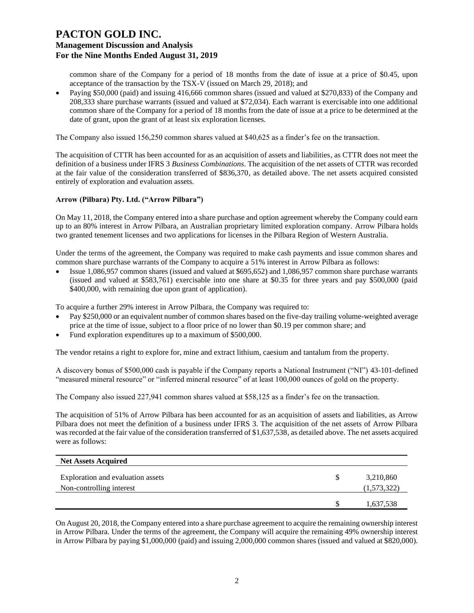common share of the Company for a period of 18 months from the date of issue at a price of \$0.45, upon acceptance of the transaction by the TSX-V (issued on March 29, 2018); and

• Paying \$50,000 (paid) and issuing 416,666 common shares (issued and valued at \$270,833) of the Company and 208,333 share purchase warrants (issued and valued at \$72,034). Each warrant is exercisable into one additional common share of the Company for a period of 18 months from the date of issue at a price to be determined at the date of grant, upon the grant of at least six exploration licenses.

The Company also issued 156,250 common shares valued at \$40,625 as a finder's fee on the transaction.

The acquisition of CTTR has been accounted for as an acquisition of assets and liabilities, as CTTR does not meet the definition of a business under IFRS 3 *Business Combinations*. The acquisition of the net assets of CTTR was recorded at the fair value of the consideration transferred of \$836,370, as detailed above. The net assets acquired consisted entirely of exploration and evaluation assets.

### **Arrow (Pilbara) Pty. Ltd. ("Arrow Pilbara")**

On May 11, 2018, the Company entered into a share purchase and option agreement whereby the Company could earn up to an 80% interest in Arrow Pilbara, an Australian proprietary limited exploration company. Arrow Pilbara holds two granted tenement licenses and two applications for licenses in the Pilbara Region of Western Australia.

Under the terms of the agreement, the Company was required to make cash payments and issue common shares and common share purchase warrants of the Company to acquire a 51% interest in Arrow Pilbara as follows:

• Issue 1,086,957 common shares (issued and valued at \$695,652) and 1,086,957 common share purchase warrants (issued and valued at \$583,761) exercisable into one share at \$0.35 for three years and pay \$500,000 (paid \$400,000, with remaining due upon grant of application).

To acquire a further 29% interest in Arrow Pilbara, the Company was required to:

- Pay \$250,000 or an equivalent number of common shares based on the five-day trailing volume-weighted average price at the time of issue, subject to a floor price of no lower than \$0.19 per common share; and
- Fund exploration expenditures up to a maximum of \$500,000.

The vendor retains a right to explore for, mine and extract lithium, caesium and tantalum from the property.

A discovery bonus of \$500,000 cash is payable if the Company reports a National Instrument ("NI") 43-101-defined "measured mineral resource" or "inferred mineral resource" of at least 100,000 ounces of gold on the property.

The Company also issued 227,941 common shares valued at \$58,125 as a finder's fee on the transaction.

The acquisition of 51% of Arrow Pilbara has been accounted for as an acquisition of assets and liabilities, as Arrow Pilbara does not meet the definition of a business under IFRS 3. The acquisition of the net assets of Arrow Pilbara was recorded at the fair value of the consideration transferred of \$1,637,538, as detailed above. The net assets acquired were as follows:

| <b>Net Assets Acquired</b>                                    |                          |
|---------------------------------------------------------------|--------------------------|
| Exploration and evaluation assets<br>Non-controlling interest | 3,210,860<br>(1,573,322) |
|                                                               | 1,637,538                |

On August 20, 2018, the Company entered into a share purchase agreement to acquire the remaining ownership interest in Arrow Pilbara. Under the terms of the agreement, the Company will acquire the remaining 49% ownership interest in Arrow Pilbara by paying \$1,000,000 (paid) and issuing 2,000,000 common shares (issued and valued at \$820,000).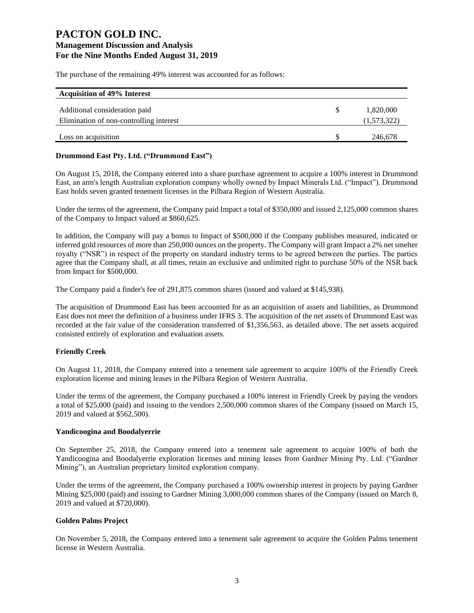The purchase of the remaining 49% interest was accounted for as follows:

| <b>Acquisition of 49% Interest</b>      |             |
|-----------------------------------------|-------------|
| Additional consideration paid           | 1,820,000   |
| Elimination of non-controlling interest | (1,573,322) |
| Loss on acquisition                     | 246,678     |

#### **Drummond East Pty. Ltd. ("Drummond East")**

On August 15, 2018, the Company entered into a share purchase agreement to acquire a 100% interest in Drummond East, an arm's length Australian exploration company wholly owned by Impact Minerals Ltd. ("Impact"). Drummond East holds seven granted tenement licenses in the Pilbara Region of Western Australia.

Under the terms of the agreement, the Company paid Impact a total of \$350,000 and issued 2,125,000 common shares of the Company to Impact valued at \$860,625.

In addition, the Company will pay a bonus to Impact of \$500,000 if the Company publishes measured, indicated or inferred gold resources of more than 250,000 ounces on the property. The Company will grant Impact a 2% net smelter royalty ("NSR") in respect of the property on standard industry terms to be agreed between the parties. The parties agree that the Company shall, at all times, retain an exclusive and unlimited right to purchase 50% of the NSR back from Impact for \$500,000.

The Company paid a finder's fee of 291,875 common shares (issued and valued at \$145,938).

The acquisition of Drummond East has been accounted for as an acquisition of assets and liabilities, as Drummond East does not meet the definition of a business under IFRS 3. The acquisition of the net assets of Drummond East was recorded at the fair value of the consideration transferred of \$1,356,563, as detailed above. The net assets acquired consisted entirely of exploration and evaluation assets.

### **Friendly Creek**

On August 11, 2018, the Company entered into a tenement sale agreement to acquire 100% of the Friendly Creek exploration license and mining leases in the Pilbara Region of Western Australia.

Under the terms of the agreement, the Company purchased a 100% interest in Friendly Creek by paying the vendors a total of \$25,000 (paid) and issuing to the vendors 2,500,000 common shares of the Company (issued on March 15, 2019 and valued at \$562,500).

#### **Yandicoogina and Boodalyerrie**

On September 25, 2018, the Company entered into a tenement sale agreement to acquire 100% of both the Yandicoogina and Boodalyerrie exploration licenses and mining leases from Gardner Mining Pty. Ltd. ("Gardner Mining"), an Australian proprietary limited exploration company.

Under the terms of the agreement, the Company purchased a 100% ownership interest in projects by paying Gardner Mining \$25,000 (paid) and issuing to Gardner Mining 3,000,000 common shares of the Company (issued on March 8, 2019 and valued at \$720,000).

### **Golden Palms Project**

On November 5, 2018, the Company entered into a tenement sale agreement to acquire the Golden Palms tenement license in Western Australia.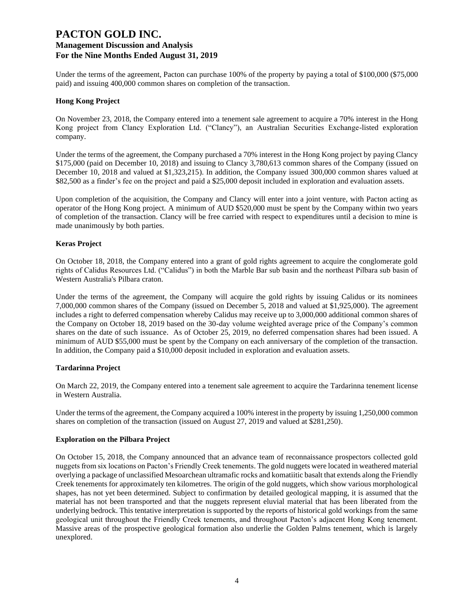Under the terms of the agreement, Pacton can purchase 100% of the property by paying a total of \$100,000 (\$75,000) paid) and issuing 400,000 common shares on completion of the transaction.

#### **Hong Kong Project**

On November 23, 2018, the Company entered into a tenement sale agreement to acquire a 70% interest in the Hong Kong project from Clancy Exploration Ltd. ("Clancy"), an Australian Securities Exchange-listed exploration company.

Under the terms of the agreement, the Company purchased a 70% interest in the Hong Kong project by paying Clancy \$175,000 (paid on December 10, 2018) and issuing to Clancy 3,780,613 common shares of the Company (issued on December 10, 2018 and valued at \$1,323,215). In addition, the Company issued 300,000 common shares valued at \$82,500 as a finder's fee on the project and paid a \$25,000 deposit included in exploration and evaluation assets.

Upon completion of the acquisition, the Company and Clancy will enter into a joint venture, with Pacton acting as operator of the Hong Kong project. A minimum of AUD \$520,000 must be spent by the Company within two years of completion of the transaction. Clancy will be free carried with respect to expenditures until a decision to mine is made unanimously by both parties.

#### **Keras Project**

On October 18, 2018, the Company entered into a grant of gold rights agreement to acquire the conglomerate gold rights of Calidus Resources Ltd. ("Calidus") in both the Marble Bar sub basin and the northeast Pilbara sub basin of Western Australia's Pilbara craton.

Under the terms of the agreement, the Company will acquire the gold rights by issuing Calidus or its nominees 7,000,000 common shares of the Company (issued on December 5, 2018 and valued at \$1,925,000). The agreement includes a right to deferred compensation whereby Calidus may receive up to 3,000,000 additional common shares of the Company on October 18, 2019 based on the 30-day volume weighted average price of the Company's common shares on the date of such issuance. As of October 25, 2019, no deferred compensation shares had been issued. A minimum of AUD \$55,000 must be spent by the Company on each anniversary of the completion of the transaction. In addition, the Company paid a \$10,000 deposit included in exploration and evaluation assets.

### **Tardarinna Project**

On March 22, 2019, the Company entered into a tenement sale agreement to acquire the Tardarinna tenement license in Western Australia.

Under the terms of the agreement, the Company acquired a 100% interest in the property by issuing 1,250,000 common shares on completion of the transaction (issued on August 27, 2019 and valued at \$281,250).

#### **Exploration on the Pilbara Project**

On October 15, 2018, the Company announced that an advance team of reconnaissance prospectors collected gold nuggets from six locations on Pacton's Friendly Creek tenements. The gold nuggets were located in weathered material overlying a package of unclassified Mesoarchean ultramafic rocks and komatiitic basalt that extends along the Friendly Creek tenements for approximately ten kilometres. The origin of the gold nuggets, which show various morphological shapes, has not yet been determined. Subject to confirmation by detailed geological mapping, it is assumed that the material has not been transported and that the nuggets represent eluvial material that has been liberated from the underlying bedrock. This tentative interpretation is supported by the reports of historical gold workings from the same geological unit throughout the Friendly Creek tenements, and throughout Pacton's adjacent Hong Kong tenement. Massive areas of the prospective geological formation also underlie the Golden Palms tenement, which is largely unexplored.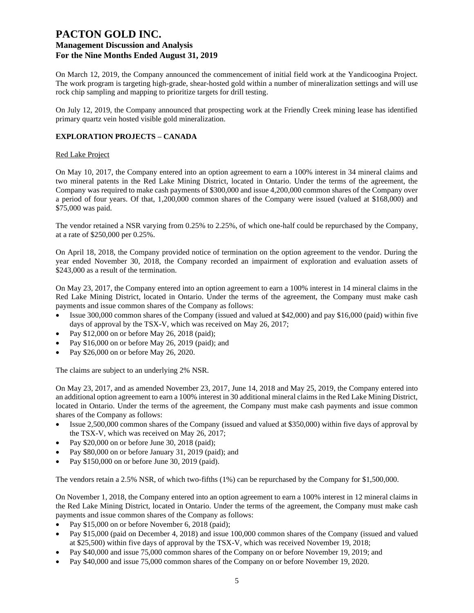On March 12, 2019, the Company announced the commencement of initial field work at the Yandicoogina Project. The work program is targeting high-grade, shear-hosted gold within a number of mineralization settings and will use rock chip sampling and mapping to prioritize targets for drill testing.

On July 12, 2019, the Company announced that prospecting work at the Friendly Creek mining lease has identified primary quartz vein hosted visible gold mineralization.

### **EXPLORATION PROJECTS – CANADA**

#### Red Lake Project

On May 10, 2017, the Company entered into an option agreement to earn a 100% interest in 34 mineral claims and two mineral patents in the Red Lake Mining District, located in Ontario. Under the terms of the agreement, the Company was required to make cash payments of \$300,000 and issue 4,200,000 common shares of the Company over a period of four years. Of that, 1,200,000 common shares of the Company were issued (valued at \$168,000) and \$75,000 was paid.

The vendor retained a NSR varying from 0.25% to 2.25%, of which one-half could be repurchased by the Company, at a rate of \$250,000 per 0.25%.

On April 18, 2018, the Company provided notice of termination on the option agreement to the vendor. During the year ended November 30, 2018, the Company recorded an impairment of exploration and evaluation assets of \$243,000 as a result of the termination.

On May 23, 2017, the Company entered into an option agreement to earn a 100% interest in 14 mineral claims in the Red Lake Mining District, located in Ontario. Under the terms of the agreement, the Company must make cash payments and issue common shares of the Company as follows:

- Issue 300,000 common shares of the Company (issued and valued at \$42,000) and pay \$16,000 (paid) within five days of approval by the TSX-V, which was received on May 26, 2017;
- Pay \$12,000 on or before May 26, 2018 (paid);
- Pay \$16,000 on or before May 26, 2019 (paid); and
- Pay \$26,000 on or before May 26, 2020.

The claims are subject to an underlying 2% NSR.

On May 23, 2017, and as amended November 23, 2017, June 14, 2018 and May 25, 2019, the Company entered into an additional option agreement to earn a 100% interest in 30 additional mineral claims in the Red Lake Mining District, located in Ontario. Under the terms of the agreement, the Company must make cash payments and issue common shares of the Company as follows:

- Issue 2,500,000 common shares of the Company (issued and valued at \$350,000) within five days of approval by the TSX-V, which was received on May 26, 2017;
- Pay \$20,000 on or before June 30, 2018 (paid);
- Pay \$80,000 on or before January 31, 2019 (paid); and
- Pay \$150,000 on or before June 30, 2019 (paid).

The vendors retain a 2.5% NSR, of which two-fifths (1%) can be repurchased by the Company for \$1,500,000.

On November 1, 2018, the Company entered into an option agreement to earn a 100% interest in 12 mineral claims in the Red Lake Mining District, located in Ontario. Under the terms of the agreement, the Company must make cash payments and issue common shares of the Company as follows:

- Pay \$15,000 on or before November 6, 2018 (paid);
- Pay \$15,000 (paid on December 4, 2018) and issue 100,000 common shares of the Company (issued and valued at \$25,500) within five days of approval by the TSX-V, which was received November 19, 2018;
- Pay \$40,000 and issue 75,000 common shares of the Company on or before November 19, 2019; and
- Pay \$40,000 and issue 75,000 common shares of the Company on or before November 19, 2020.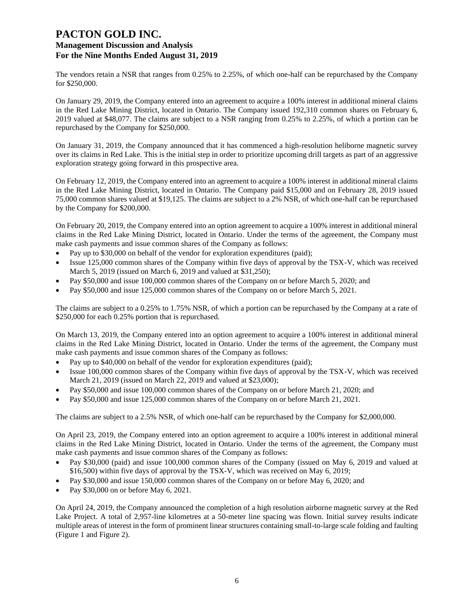The vendors retain a NSR that ranges from 0.25% to 2.25%, of which one-half can be repurchased by the Company for \$250,000.

On January 29, 2019, the Company entered into an agreement to acquire a 100% interest in additional mineral claims in the Red Lake Mining District, located in Ontario. The Company issued 192,310 common shares on February 6, 2019 valued at \$48,077. The claims are subject to a NSR ranging from 0.25% to 2.25%, of which a portion can be repurchased by the Company for \$250,000.

On January 31, 2019, the Company announced that it has commenced a high-resolution heliborne magnetic survey over its claims in Red Lake. This is the initial step in order to prioritize upcoming drill targets as part of an aggressive exploration strategy going forward in this prospective area.

On February 12, 2019, the Company entered into an agreement to acquire a 100% interest in additional mineral claims in the Red Lake Mining District, located in Ontario. The Company paid \$15,000 and on February 28, 2019 issued 75,000 common shares valued at \$19,125. The claims are subject to a 2% NSR, of which one-half can be repurchased by the Company for \$200,000.

On February 20, 2019, the Company entered into an option agreement to acquire a 100% interest in additional mineral claims in the Red Lake Mining District, located in Ontario. Under the terms of the agreement, the Company must make cash payments and issue common shares of the Company as follows:

- Pay up to \$30,000 on behalf of the vendor for exploration expenditures (paid);
- Issue 125,000 common shares of the Company within five days of approval by the TSX-V, which was received March 5, 2019 (issued on March 6, 2019 and valued at \$31,250);
- Pay \$50,000 and issue 100,000 common shares of the Company on or before March 5, 2020; and
- Pay \$50,000 and issue 125,000 common shares of the Company on or before March 5, 2021.

The claims are subject to a 0.25% to 1.75% NSR, of which a portion can be repurchased by the Company at a rate of \$250,000 for each 0.25% portion that is repurchased.

On March 13, 2019, the Company entered into an option agreement to acquire a 100% interest in additional mineral claims in the Red Lake Mining District, located in Ontario. Under the terms of the agreement, the Company must make cash payments and issue common shares of the Company as follows:

- Pay up to \$40,000 on behalf of the vendor for exploration expenditures (paid);
- Issue 100,000 common shares of the Company within five days of approval by the TSX-V, which was received March 21, 2019 (issued on March 22, 2019 and valued at \$23,000);
- Pay \$50,000 and issue 100,000 common shares of the Company on or before March 21, 2020; and
- Pay \$50,000 and issue 125,000 common shares of the Company on or before March 21, 2021.

The claims are subject to a 2.5% NSR, of which one-half can be repurchased by the Company for \$2,000,000.

On April 23, 2019, the Company entered into an option agreement to acquire a 100% interest in additional mineral claims in the Red Lake Mining District, located in Ontario. Under the terms of the agreement, the Company must make cash payments and issue common shares of the Company as follows:

- Pay \$30,000 (paid) and issue 100,000 common shares of the Company (issued on May 6, 2019 and valued at \$16,500) within five days of approval by the TSX-V, which was received on May 6, 2019;
- Pay \$30,000 and issue 150,000 common shares of the Company on or before May 6, 2020; and
- Pay \$30,000 on or before May 6, 2021.

On April 24, 2019, the Company announced the completion of a high resolution airborne magnetic survey at the Red Lake Project. A total of 2,957-line kilometres at a 50-meter line spacing was flown. Initial survey results indicate multiple areas of interest in the form of prominent linear structures containing small-to-large scale folding and faulting (Figure 1 and Figure 2).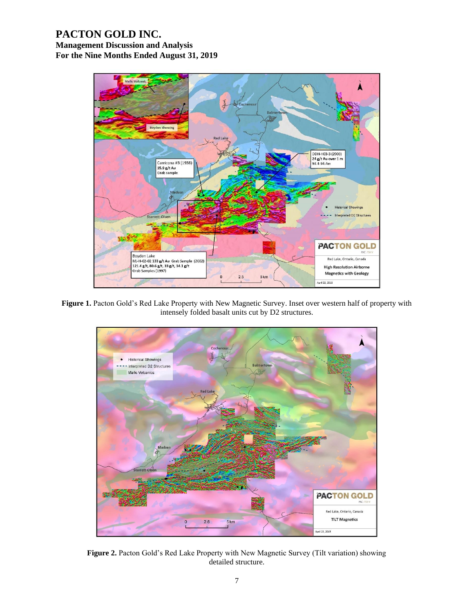## **PACTON GOLD INC.**

**Management Discussion and Analysis For the Nine Months Ended August 31, 2019**



Figure 1. Pacton Gold's Red Lake Property with New Magnetic Survey. Inset over western half of property with intensely folded basalt units cut by D2 structures.



**Figure 2.** Pacton Gold's Red Lake Property with New Magnetic Survey (Tilt variation) showing detailed structure.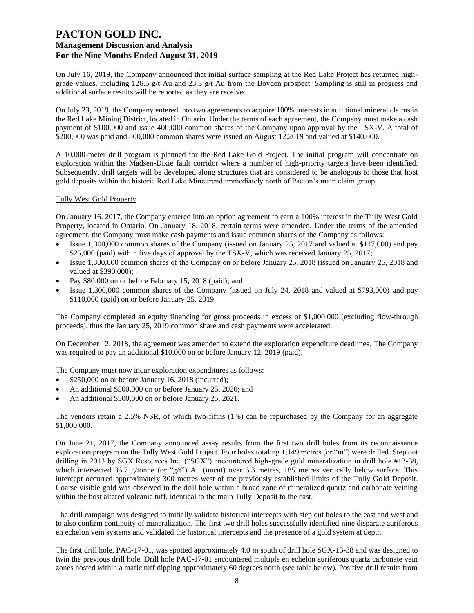On July 16, 2019, the Company announced that initial surface sampling at the Red Lake Project has returned highgrade values, including 126.5 g/t Au and 23.3 g/t Au from the Boyden prospect. Sampling is still in progress and additional surface results will be reported as they are received.

On July 23, 2019, the Company entered into two agreements to acquire 100% interests in additional mineral claims in the Red Lake Mining District, located in Ontario. Under the terms of each agreement, the Company must make a cash payment of \$100,000 and issue 400,000 common shares of the Company upon approval by the TSX-V. A total of \$200,000 was paid and 800,000 common shares were issued on August 12,2019 and valued at \$140,000.

A 10,000-meter drill program is planned for the Red Lake Gold Project. The initial program will concentrate on exploration within the Madsen-Dixie fault corridor where a number of high-priority targets have been identified. Subsequently, drill targets will be developed along structures that are considered to be analogous to those that host gold deposits within the historic Red Lake Mine trend immediately north of Pacton's main claim group.

#### Tully West Gold Property

On January 16, 2017, the Company entered into an option agreement to earn a 100% interest in the Tully West Gold Property, located in Ontario. On January 18, 2018, certain terms were amended. Under the terms of the amended agreement, the Company must make cash payments and issue common shares of the Company as follows:

- Issue 1,300,000 common shares of the Company (issued on January 25, 2017 and valued at \$117,000) and pay \$25,000 (paid) within five days of approval by the TSX-V, which was received January 25, 2017;
- Issue 1,300,000 common shares of the Company on or before January 25, 2018 (issued on January 25, 2018 and valued at \$390,000);
- Pay \$80,000 on or before February 15, 2018 (paid); and
- Issue 1,300,000 common shares of the Company (issued on July 24, 2018 and valued at \$793,000) and pay \$110,000 (paid) on or before January 25, 2019.

The Company completed an equity financing for gross proceeds in excess of \$1,000,000 (excluding flow-through proceeds), thus the January 25, 2019 common share and cash payments were accelerated.

On December 12, 2018, the agreement was amended to extend the exploration expenditure deadlines. The Company was required to pay an additional \$10,000 on or before January 12, 2019 (paid).

The Company must now incur exploration expenditures as follows:

- \$250,000 on or before January 16, 2018 (incurred);
- An additional \$500,000 on or before January 25, 2020; and
- An additional \$500,000 on or before January 25, 2021.

The vendors retain a 2.5% NSR, of which two-fifths (1%) can be repurchased by the Company for an aggregate \$1,000,000.

On June 21, 2017, the Company announced assay results from the first two drill holes from its reconnaissance exploration program on the Tully West Gold Project. Four holes totaling 1,149 metres (or "m") were drilled. Step out drilling in 2013 by SGX Resources Inc. ("SGX") encountered high-grade gold mineralization in drill hole #13-38, which intersected 36.7 g/tonne (or "g/t") Au (uncut) over 6.3 metres, 185 metres vertically below surface. This intercept occurred approximately 300 metres west of the previously established limits of the Tully Gold Deposit. Coarse visible gold was observed in the drill hole within a broad zone of mineralized quartz and carbonate veining within the host altered volcanic tuff, identical to the main Tully Deposit to the east.

The drill campaign was designed to initially validate historical intercepts with step out holes to the east and west and to also confirm continuity of mineralization. The first two drill holes successfully identified nine disparate auriferous en echelon vein systems and validated the historical intercepts and the presence of a gold system at depth.

The first drill hole, PAC-17-01, was spotted approximately 4.0 m south of drill hole SGX-13-38 and was designed to twin the previous drill hole. Drill hole PAC-17-01 encountered multiple en echelon auriferous quartz carbonate vein zones hosted within a mafic tuff dipping approximately 60 degrees north (see table below). Positive drill results from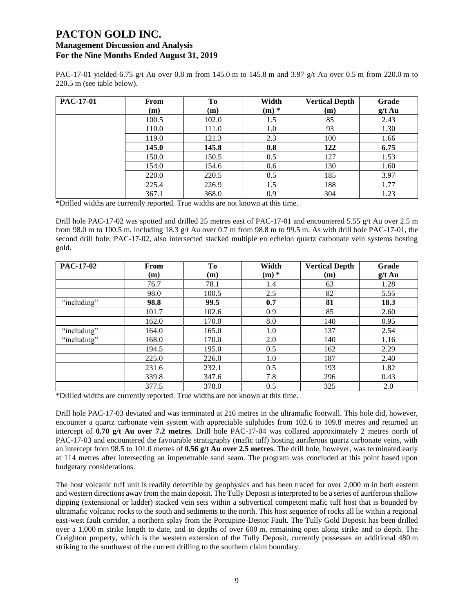PAC-17-01 yielded 6.75 g/t Au over 0.8 m from 145.0 m to 145.8 m and 3.97 g/t Au over 0.5 m from 220.0 m to 220.5 m (see table below).

| PAC-17-01 | From  | To    | Width   | <b>Vertical Depth</b> | Grade    |
|-----------|-------|-------|---------|-----------------------|----------|
|           | (m)   | (m)   | $(m)$ * | (m)                   | $g/t$ Au |
|           | 100.5 | 102.0 | 1.5     | 85                    | 2.43     |
|           | 110.0 | 111.0 | 1.0     | 93                    | 1.30     |
|           | 119.0 | 121.3 | 2.3     | 100                   | 1.66     |
|           | 145.0 | 145.8 | 0.8     | 122                   | 6.75     |
|           | 150.0 | 150.5 | 0.5     | 127                   | 1.53     |
|           | 154.0 | 154.6 | 0.6     | 130                   | 1.60     |
|           | 220.0 | 220.5 | 0.5     | 185                   | 3.97     |
|           | 225.4 | 226.9 | 1.5     | 188                   | 1.77     |
|           | 367.1 | 368.0 | 0.9     | 304                   | 1.23     |

\*Drilled widths are currently reported. True widths are not known at this time.

Drill hole PAC-17-02 was spotted and drilled 25 metres east of PAC-17-01 and encountered 5.55 g/t Au over 2.5 m from 98.0 m to 100.5 m, including 18.3 g/t Au over 0.7 m from 98.8 m to 99.5 m. As with drill hole PAC-17-01, the second drill hole, PAC-17-02, also intersected stacked multiple en echelon quartz carbonate vein systems hosting gold.

| <b>PAC-17-02</b> | From  | To    | Width   | <b>Vertical Depth</b> | Grade    |
|------------------|-------|-------|---------|-----------------------|----------|
|                  | (m)   | (m)   | $(m)$ * | (m)                   | $g/t$ Au |
|                  | 76.7  | 78.1  | 1.4     | 63                    | 1.28     |
|                  | 98.0  | 100.5 | 2.5     | 82                    | 5.55     |
| "including"      | 98.8  | 99.5  | 0.7     | 81                    | 18.3     |
|                  | 101.7 | 102.6 | 0.9     | 85                    | 2.60     |
|                  | 162.0 | 170.0 | 8.0     | 140                   | 0.95     |
| "including"      | 164.0 | 165.0 | 1.0     | 137                   | 2.54     |
| "including"      | 168.0 | 170.0 | 2.0     | 140                   | 1.16     |
|                  | 194.5 | 195.0 | 0.5     | 162                   | 2.29     |
|                  | 225.0 | 226.0 | 1.0     | 187                   | 2.40     |
|                  | 231.6 | 232.1 | 0.5     | 193                   | 1.82     |
|                  | 339.8 | 347.6 | 7.8     | 296                   | 0.43     |
|                  | 377.5 | 378.0 | 0.5     | 325                   | 2.0      |

\*Drilled widths are currently reported. True widths are not known at this time.

Drill hole PAC-17-03 deviated and was terminated at 216 metres in the ultramafic footwall. This hole did, however, encounter a quartz carbonate vein system with appreciable sulphides from 102.6 to 109.8 metres and returned an intercept of **0.70 g/t Au over 7.2 metres**. Drill hole PAC-17-04 was collared approximately 2 metres north of PAC-17-03 and encountered the favourable stratigraphy (mafic tuff) hosting auriferous quartz carbonate veins, with an intercept from 98.5 to 101.0 metres of **0.56 g/t Au over 2.5 metres**. The drill hole, however, was terminated early at 114 metres after intersecting an impenetrable sand seam. The program was concluded at this point based upon budgetary considerations.

The host volcanic tuff unit is readily detectible by geophysics and has been traced for over 2,000 m in both eastern and western directions away from the main deposit. The Tully Deposit is interpreted to be a series of auriferous shallow dipping (extensional or ladder) stacked vein sets within a subvertical competent mafic tuff host that is bounded by ultramafic volcanic rocks to the south and sediments to the north. This host sequence of rocks all lie within a regional east-west fault corridor, a northern splay from the Porcupine-Destor Fault. The Tully Gold Deposit has been drilled over a 1,000 m strike length to date, and to depths of over 600 m, remaining open along strike and to depth. The Creighton property, which is the western extension of the Tully Deposit, currently possesses an additional 480 m striking to the southwest of the current drilling to the southern claim boundary.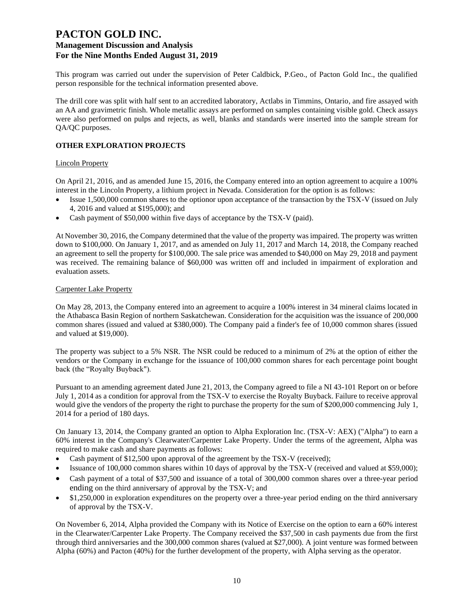This program was carried out under the supervision of Peter Caldbick, P.Geo., of Pacton Gold Inc., the qualified person responsible for the technical information presented above.

The drill core was split with half sent to an accredited laboratory, Actlabs in Timmins, Ontario, and fire assayed with an AA and gravimetric finish. Whole metallic assays are performed on samples containing visible gold. Check assays were also performed on pulps and rejects, as well, blanks and standards were inserted into the sample stream for QA/QC purposes.

### **OTHER EXPLORATION PROJECTS**

#### Lincoln Property

On April 21, 2016, and as amended June 15, 2016, the Company entered into an option agreement to acquire a 100% interest in the Lincoln Property, a lithium project in Nevada. Consideration for the option is as follows:

- Issue 1,500,000 common shares to the optionor upon acceptance of the transaction by the TSX-V (issued on July 4, 2016 and valued at \$195,000); and
- Cash payment of \$50,000 within five days of acceptance by the TSX-V (paid).

At November 30, 2016, the Company determined that the value of the property was impaired. The property was written down to \$100,000. On January 1, 2017, and as amended on July 11, 2017 and March 14, 2018, the Company reached an agreement to sell the property for \$100,000. The sale price was amended to \$40,000 on May 29, 2018 and payment was received. The remaining balance of \$60,000 was written off and included in impairment of exploration and evaluation assets.

#### Carpenter Lake Property

On May 28, 2013, the Company entered into an agreement to acquire a 100% interest in 34 mineral claims located in the Athabasca Basin Region of northern Saskatchewan. Consideration for the acquisition was the issuance of 200,000 common shares (issued and valued at \$380,000). The Company paid a finder's fee of 10,000 common shares (issued and valued at \$19,000).

The property was subject to a 5% NSR. The NSR could be reduced to a minimum of 2% at the option of either the vendors or the Company in exchange for the issuance of 100,000 common shares for each percentage point bought back (the "Royalty Buyback").

Pursuant to an amending agreement dated June 21, 2013, the Company agreed to file a NI 43-101 Report on or before July 1, 2014 as a condition for approval from the TSX-V to exercise the Royalty Buyback. Failure to receive approval would give the vendors of the property the right to purchase the property for the sum of \$200,000 commencing July 1, 2014 for a period of 180 days.

On January 13, 2014, the Company granted an option to Alpha Exploration Inc. (TSX-V: AEX) ("Alpha") to earn a 60% interest in the Company's Clearwater/Carpenter Lake Property. Under the terms of the agreement, Alpha was required to make cash and share payments as follows:

- Cash payment of \$12,500 upon approval of the agreement by the TSX-V (received);
- Issuance of 100,000 common shares within 10 days of approval by the TSX-V (received and valued at \$59,000);
- Cash payment of a total of \$37,500 and issuance of a total of 300,000 common shares over a three-year period ending on the third anniversary of approval by the TSX-V; and
- \$1,250,000 in exploration expenditures on the property over a three-year period ending on the third anniversary of approval by the TSX-V.

On November 6, 2014, Alpha provided the Company with its Notice of Exercise on the option to earn a 60% interest in the Clearwater/Carpenter Lake Property. The Company received the \$37,500 in cash payments due from the first through third anniversaries and the 300,000 common shares (valued at \$27,000). A joint venture was formed between Alpha (60%) and Pacton (40%) for the further development of the property, with Alpha serving as the operator.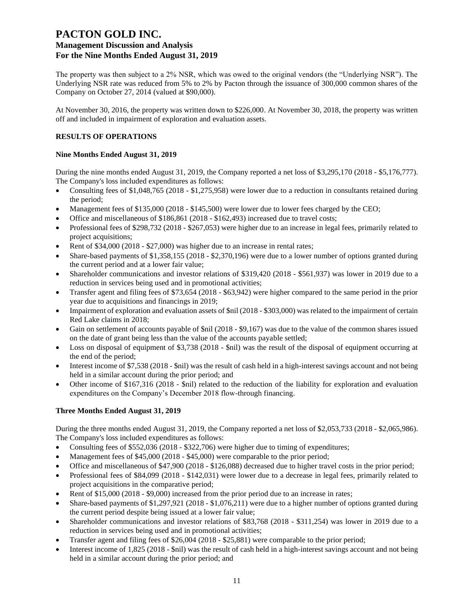## **PACTON GOLD INC.**

### **Management Discussion and Analysis For the Nine Months Ended August 31, 2019**

The property was then subject to a 2% NSR, which was owed to the original vendors (the "Underlying NSR"). The Underlying NSR rate was reduced from 5% to 2% by Pacton through the issuance of 300,000 common shares of the Company on October 27, 2014 (valued at \$90,000).

At November 30, 2016, the property was written down to \$226,000. At November 30, 2018, the property was written off and included in impairment of exploration and evaluation assets.

### **RESULTS OF OPERATIONS**

### **Nine Months Ended August 31, 2019**

During the nine months ended August 31, 2019, the Company reported a net loss of \$3,295,170 (2018 - \$5,176,777). The Company's loss included expenditures as follows:

- Consulting fees of \$1,048,765 (2018 \$1,275,958) were lower due to a reduction in consultants retained during the period;
- Management fees of \$135,000 (2018 \$145,500) were lower due to lower fees charged by the CEO;
- Office and miscellaneous of \$186,861 (2018 \$162,493) increased due to travel costs;
- Professional fees of \$298,732 (2018 \$267,053) were higher due to an increase in legal fees, primarily related to project acquisitions;
- Rent of \$34,000 (2018 \$27,000) was higher due to an increase in rental rates;
- Share-based payments of \$1,358,155 (2018 \$2,370,196) were due to a lower number of options granted during the current period and at a lower fair value;
- Shareholder communications and investor relations of \$319,420 (2018 \$561,937) was lower in 2019 due to a reduction in services being used and in promotional activities;
- Transfer agent and filing fees of \$73,654 (2018 \$63,942) were higher compared to the same period in the prior year due to acquisitions and financings in 2019;
- Impairment of exploration and evaluation assets of \$nil (2018 \$303,000) was related to the impairment of certain Red Lake claims in 2018;
- Gain on settlement of accounts payable of \$nil (2018 \$9,167) was due to the value of the common shares issued on the date of grant being less than the value of the accounts payable settled;
- Loss on disposal of equipment of \$3,738 (2018 \$nil) was the result of the disposal of equipment occurring at the end of the period;
- Interest income of \$7,538 (2018 \$nil) was the result of cash held in a high-interest savings account and not being held in a similar account during the prior period; and
- Other income of \$167,316 (2018 \$nil) related to the reduction of the liability for exploration and evaluation expenditures on the Company's December 2018 flow-through financing.

### **Three Months Ended August 31, 2019**

During the three months ended August 31, 2019, the Company reported a net loss of \$2,053,733 (2018 - \$2,065,986). The Company's loss included expenditures as follows:

- Consulting fees of \$552,036 (2018 \$322,706) were higher due to timing of expenditures;
- Management fees of \$45,000 (2018 \$45,000) were comparable to the prior period;
- Office and miscellaneous of \$47,900 (2018 \$126,088) decreased due to higher travel costs in the prior period;
- Professional fees of \$84,099 (2018 \$142,031) were lower due to a decrease in legal fees, primarily related to project acquisitions in the comparative period;
- Rent of \$15,000 (2018 \$9,000) increased from the prior period due to an increase in rates;
- Share-based payments of \$1,297,921 (2018 \$1,076,211) were due to a higher number of options granted during the current period despite being issued at a lower fair value;
- Shareholder communications and investor relations of \$83,768 (2018 \$311,254) was lower in 2019 due to a reduction in services being used and in promotional activities;
- Transfer agent and filing fees of \$26,004 (2018 \$25,881) were comparable to the prior period;
- Interest income of 1,825 (2018 \$nil) was the result of cash held in a high-interest savings account and not being held in a similar account during the prior period; and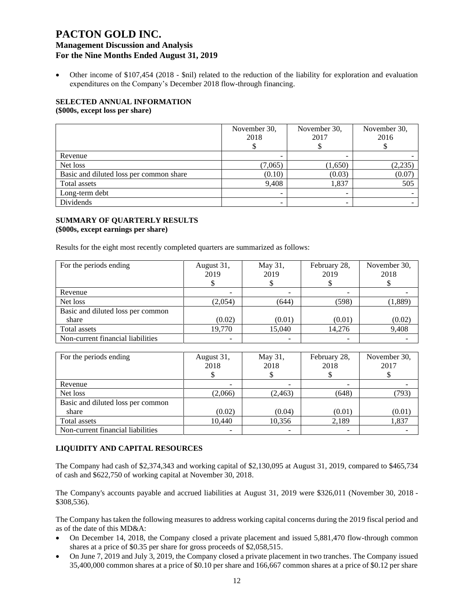• Other income of \$107,454 (2018 - \$nil) related to the reduction of the liability for exploration and evaluation expenditures on the Company's December 2018 flow-through financing.

#### **SELECTED ANNUAL INFORMATION (\$000s, except loss per share)**

|                                         | November 30,<br>2018     | November 30,<br>2017 | November 30,<br>2016 |  |
|-----------------------------------------|--------------------------|----------------------|----------------------|--|
| Revenue                                 |                          |                      |                      |  |
| Net loss                                | (7,065)                  | (1,650)              | (2, 235)             |  |
| Basic and diluted loss per common share | (0.10)                   | (0.03)               | (0.07)               |  |
| Total assets                            | 9,408                    | 1,837                | 505                  |  |
| Long-term debt                          | $\overline{\phantom{a}}$ |                      |                      |  |
| Dividends                               | -                        | -                    |                      |  |

### **SUMMARY OF QUARTERLY RESULTS (\$000s, except earnings per share)**

Results for the eight most recently completed quarters are summarized as follows:

| For the periods ending            | August 31,<br>2019 | May 31,<br>2019 | February 28,<br>2019 | November 30,<br>2018 |
|-----------------------------------|--------------------|-----------------|----------------------|----------------------|
|                                   |                    |                 |                      |                      |
| Revenue                           |                    |                 |                      |                      |
| Net loss                          | (2,054)            | (644)           | (598)                | (1,889)              |
| Basic and diluted loss per common |                    |                 |                      |                      |
| share                             | (0.02)             | (0.01)          | (0.01)               | (0.02)               |
| Total assets                      | 19,770             | 15,040          | 14,276               | 9,408                |
| Non-current financial liabilities |                    |                 |                      |                      |

| For the periods ending            | August 31,<br>2018 | May 31,<br>2018 | February 28,<br>2018 | November 30,<br>2017 |
|-----------------------------------|--------------------|-----------------|----------------------|----------------------|
| Revenue                           |                    |                 |                      |                      |
| Net loss                          | (2,066)            | (2, 463)        | (648)                | (793)                |
| Basic and diluted loss per common |                    |                 |                      |                      |
| share                             | (0.02)             | (0.04)          | (0.01)               | (0.01)               |
| Total assets                      | 10.440             | 10,356          | 2,189                | 1,837                |
| Non-current financial liabilities |                    |                 |                      |                      |

### **LIQUIDITY AND CAPITAL RESOURCES**

The Company had cash of \$2,374,343 and working capital of \$2,130,095 at August 31, 2019, compared to \$465,734 of cash and \$622,750 of working capital at November 30, 2018.

The Company's accounts payable and accrued liabilities at August 31, 2019 were \$326,011 (November 30, 2018 - \$308,536).

The Company has taken the following measures to address working capital concerns during the 2019 fiscal period and as of the date of this MD&A:

- On December 14, 2018, the Company closed a private placement and issued 5,881,470 flow-through common shares at a price of \$0.35 per share for gross proceeds of \$2,058,515.
- On June 7, 2019 and July 3, 2019, the Company closed a private placement in two tranches. The Company issued 35,400,000 common shares at a price of \$0.10 per share and 166,667 common shares at a price of \$0.12 per share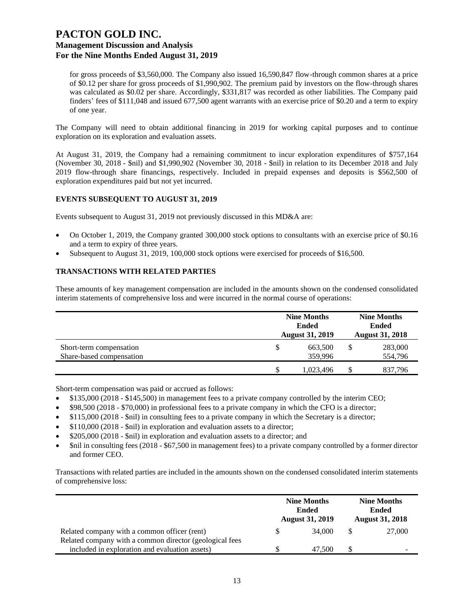for gross proceeds of \$3,560,000. The Company also issued 16,590,847 flow-through common shares at a price of \$0.12 per share for gross proceeds of \$1,990,902. The premium paid by investors on the flow-through shares was calculated as \$0.02 per share. Accordingly, \$331,817 was recorded as other liabilities. The Company paid finders' fees of \$111,048 and issued 677,500 agent warrants with an exercise price of \$0.20 and a term to expiry of one year.

The Company will need to obtain additional financing in 2019 for working capital purposes and to continue exploration on its exploration and evaluation assets.

At August 31, 2019, the Company had a remaining commitment to incur exploration expenditures of \$757,164 (November 30, 2018 - \$nil) and \$1,990,902 (November 30, 2018 - \$nil) in relation to its December 2018 and July 2019 flow-through share financings, respectively. Included in prepaid expenses and deposits is \$562,500 of exploration expenditures paid but not yet incurred.

#### **EVENTS SUBSEQUENT TO AUGUST 31, 2019**

Events subsequent to August 31, 2019 not previously discussed in this MD&A are:

- On October 1, 2019, the Company granted 300,000 stock options to consultants with an exercise price of \$0.16 and a term to expiry of three years.
- Subsequent to August 31, 2019, 100,000 stock options were exercised for proceeds of \$16,500.

#### **TRANSACTIONS WITH RELATED PARTIES**

These amounts of key management compensation are included in the amounts shown on the condensed consolidated interim statements of comprehensive loss and were incurred in the normal course of operations:

|                          | <b>Nine Months</b><br><b>August 31, 2019</b> | <b>Nine Months</b><br><b>Ended</b><br><b>August 31, 2018</b> |  |         |
|--------------------------|----------------------------------------------|--------------------------------------------------------------|--|---------|
| Short-term compensation  | \$                                           | 663,500                                                      |  | 283,000 |
| Share-based compensation |                                              | 359,996                                                      |  | 554,796 |
|                          | S                                            | 1,023,496                                                    |  | 837,796 |

Short-term compensation was paid or accrued as follows:

- \$135,000 (2018 \$145,500) in management fees to a private company controlled by the interim CEO;
- \$98,500 (2018 \$70,000) in professional fees to a private company in which the CFO is a director;
- \$115,000 (2018 \$nil) in consulting fees to a private company in which the Secretary is a director;
- \$110,000 (2018 \$nil) in exploration and evaluation assets to a director;
- \$205,000 (2018 \$nil) in exploration and evaluation assets to a director; and
- \$nil in consulting fees (2018 \$67,500 in management fees) to a private company controlled by a former director and former CEO.

Transactions with related parties are included in the amounts shown on the condensed consolidated interim statements of comprehensive loss:

|                                                         | <b>Nine Months</b><br><b>Ended</b><br><b>August 31, 2019</b> | <b>Nine Months</b><br><b>Ended</b><br><b>August 31, 2018</b> |
|---------------------------------------------------------|--------------------------------------------------------------|--------------------------------------------------------------|
| Related company with a common officer (rent)            | 34,000                                                       | 27,000                                                       |
| Related company with a common director (geological fees |                                                              |                                                              |
| included in exploration and evaluation assets)          | 47.500                                                       | -                                                            |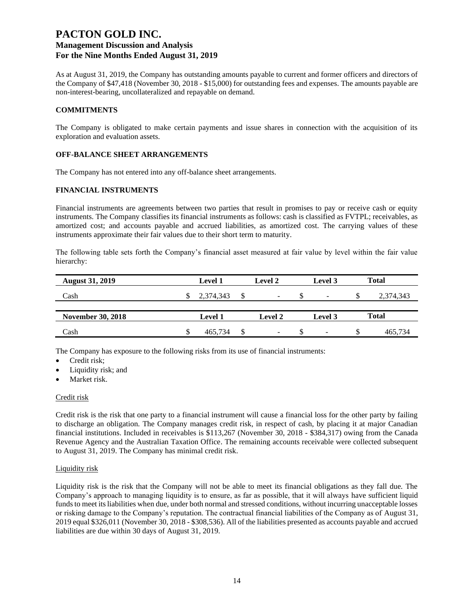As at August 31, 2019, the Company has outstanding amounts payable to current and former officers and directors of the Company of \$47,418 (November 30, 2018 - \$15,000) for outstanding fees and expenses. The amounts payable are non-interest-bearing, uncollateralized and repayable on demand.

#### **COMMITMENTS**

The Company is obligated to make certain payments and issue shares in connection with the acquisition of its exploration and evaluation assets.

#### **OFF-BALANCE SHEET ARRANGEMENTS**

The Company has not entered into any off-balance sheet arrangements.

#### **FINANCIAL INSTRUMENTS**

Financial instruments are agreements between two parties that result in promises to pay or receive cash or equity instruments. The Company classifies its financial instruments as follows: cash is classified as FVTPL; receivables, as amortized cost; and accounts payable and accrued liabilities, as amortized cost. The carrying values of these instruments approximate their fair values due to their short term to maturity.

The following table sets forth the Company's financial asset measured at fair value by level within the fair value hierarchy:

| <b>August 31, 2019</b>   | <b>Level 1</b> | Level 2        | Level 3         |   | Total     |
|--------------------------|----------------|----------------|-----------------|---|-----------|
| Cash                     | 2,374,343      | ۰              | $\qquad \qquad$ | ъ | 2,374,343 |
|                          |                |                |                 |   |           |
| <b>November 30, 2018</b> | <b>Level 1</b> | <b>Level 2</b> | Level 3         |   | Total     |
| Cash                     | 465.734        | -              | -               | S | 465.734   |

The Company has exposure to the following risks from its use of financial instruments:

- Credit risk;
- Liquidity risk; and
- Market risk.

#### Credit risk

Credit risk is the risk that one party to a financial instrument will cause a financial loss for the other party by failing to discharge an obligation. The Company manages credit risk, in respect of cash, by placing it at major Canadian financial institutions. Included in receivables is \$113,267 (November 30, 2018 - \$384,317) owing from the Canada Revenue Agency and the Australian Taxation Office. The remaining accounts receivable were collected subsequent to August 31, 2019. The Company has minimal credit risk.

#### Liquidity risk

Liquidity risk is the risk that the Company will not be able to meet its financial obligations as they fall due. The Company's approach to managing liquidity is to ensure, as far as possible, that it will always have sufficient liquid funds to meet its liabilities when due, under both normal and stressed conditions, without incurring unacceptable losses or risking damage to the Company's reputation. The contractual financial liabilities of the Company as of August 31, 2019 equal \$326,011 (November 30, 2018 - \$308,536). All of the liabilities presented as accounts payable and accrued liabilities are due within 30 days of August 31, 2019.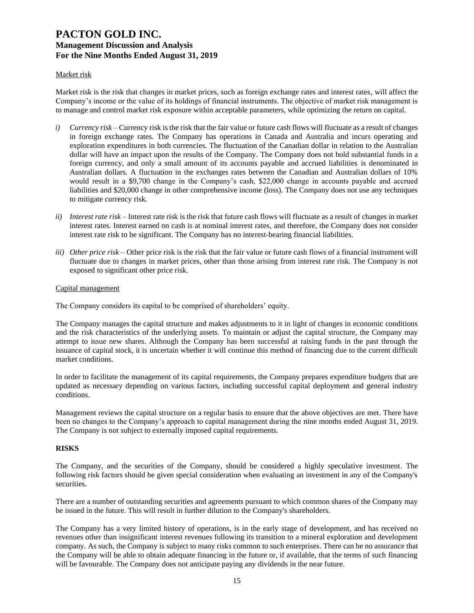### Market risk

Market risk is the risk that changes in market prices, such as foreign exchange rates and interest rates, will affect the Company's income or the value of its holdings of financial instruments. The objective of market risk management is to manage and control market risk exposure within acceptable parameters, while optimizing the return on capital.

- *i*) *Currency risk* Currency risk is the risk that the fair value or future cash flows will fluctuate as a result of changes in foreign exchange rates. The Company has operations in Canada and Australia and incurs operating and exploration expenditures in both currencies. The fluctuation of the Canadian dollar in relation to the Australian dollar will have an impact upon the results of the Company. The Company does not hold substantial funds in a foreign currency, and only a small amount of its accounts payable and accrued liabilities is denominated in Australian dollars. A fluctuation in the exchanges rates between the Canadian and Australian dollars of 10% would result in a \$9,700 change in the Company's cash, \$22,000 change in accounts payable and accrued liabilities and \$20,000 change in other comprehensive income (loss). The Company does not use any techniques to mitigate currency risk.
- *ii) Interest rate risk –* Interest rate risk is the risk that future cash flows will fluctuate as a result of changes in market interest rates. Interest earned on cash is at nominal interest rates, and therefore, the Company does not consider interest rate risk to be significant. The Company has no interest-bearing financial liabilities.
- *iii) Other price risk –* Other price risk is the risk that the fair value or future cash flows of a financial instrument will fluctuate due to changes in market prices, other than those arising from interest rate risk. The Company is not exposed to significant other price risk.

#### Capital management

The Company considers its capital to be comprised of shareholders' equity.

The Company manages the capital structure and makes adjustments to it in light of changes in economic conditions and the risk characteristics of the underlying assets. To maintain or adjust the capital structure, the Company may attempt to issue new shares. Although the Company has been successful at raising funds in the past through the issuance of capital stock, it is uncertain whether it will continue this method of financing due to the current difficult market conditions.

In order to facilitate the management of its capital requirements, the Company prepares expenditure budgets that are updated as necessary depending on various factors, including successful capital deployment and general industry conditions.

Management reviews the capital structure on a regular basis to ensure that the above objectives are met. There have been no changes to the Company's approach to capital management during the nine months ended August 31, 2019. The Company is not subject to externally imposed capital requirements.

### **RISKS**

The Company, and the securities of the Company, should be considered a highly speculative investment. The following risk factors should be given special consideration when evaluating an investment in any of the Company's securities.

There are a number of outstanding securities and agreements pursuant to which common shares of the Company may be issued in the future. This will result in further dilution to the Company's shareholders.

The Company has a very limited history of operations, is in the early stage of development, and has received no revenues other than insignificant interest revenues following its transition to a mineral exploration and development company. As such, the Company is subject to many risks common to such enterprises. There can be no assurance that the Company will be able to obtain adequate financing in the future or, if available, that the terms of such financing will be favourable. The Company does not anticipate paying any dividends in the near future.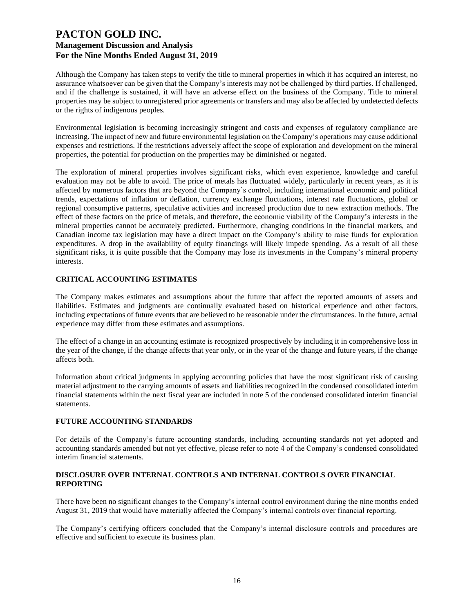Although the Company has taken steps to verify the title to mineral properties in which it has acquired an interest, no assurance whatsoever can be given that the Company's interests may not be challenged by third parties. If challenged, and if the challenge is sustained, it will have an adverse effect on the business of the Company. Title to mineral properties may be subject to unregistered prior agreements or transfers and may also be affected by undetected defects or the rights of indigenous peoples.

Environmental legislation is becoming increasingly stringent and costs and expenses of regulatory compliance are increasing. The impact of new and future environmental legislation on the Company's operations may cause additional expenses and restrictions. If the restrictions adversely affect the scope of exploration and development on the mineral properties, the potential for production on the properties may be diminished or negated.

The exploration of mineral properties involves significant risks, which even experience, knowledge and careful evaluation may not be able to avoid. The price of metals has fluctuated widely, particularly in recent years, as it is affected by numerous factors that are beyond the Company's control, including international economic and political trends, expectations of inflation or deflation, currency exchange fluctuations, interest rate fluctuations, global or regional consumptive patterns, speculative activities and increased production due to new extraction methods. The effect of these factors on the price of metals, and therefore, the economic viability of the Company's interests in the mineral properties cannot be accurately predicted. Furthermore, changing conditions in the financial markets, and Canadian income tax legislation may have a direct impact on the Company's ability to raise funds for exploration expenditures. A drop in the availability of equity financings will likely impede spending. As a result of all these significant risks, it is quite possible that the Company may lose its investments in the Company's mineral property interests.

### **CRITICAL ACCOUNTING ESTIMATES**

The Company makes estimates and assumptions about the future that affect the reported amounts of assets and liabilities. Estimates and judgments are continually evaluated based on historical experience and other factors, including expectations of future events that are believed to be reasonable under the circumstances. In the future, actual experience may differ from these estimates and assumptions.

The effect of a change in an accounting estimate is recognized prospectively by including it in comprehensive loss in the year of the change, if the change affects that year only, or in the year of the change and future years, if the change affects both.

Information about critical judgments in applying accounting policies that have the most significant risk of causing material adjustment to the carrying amounts of assets and liabilities recognized in the condensed consolidated interim financial statements within the next fiscal year are included in note 5 of the condensed consolidated interim financial statements.

### **FUTURE ACCOUNTING STANDARDS**

For details of the Company's future accounting standards, including accounting standards not yet adopted and accounting standards amended but not yet effective, please refer to note 4 of the Company's condensed consolidated interim financial statements.

#### **DISCLOSURE OVER INTERNAL CONTROLS AND INTERNAL CONTROLS OVER FINANCIAL REPORTING**

There have been no significant changes to the Company's internal control environment during the nine months ended August 31, 2019 that would have materially affected the Company's internal controls over financial reporting.

The Company's certifying officers concluded that the Company's internal disclosure controls and procedures are effective and sufficient to execute its business plan.